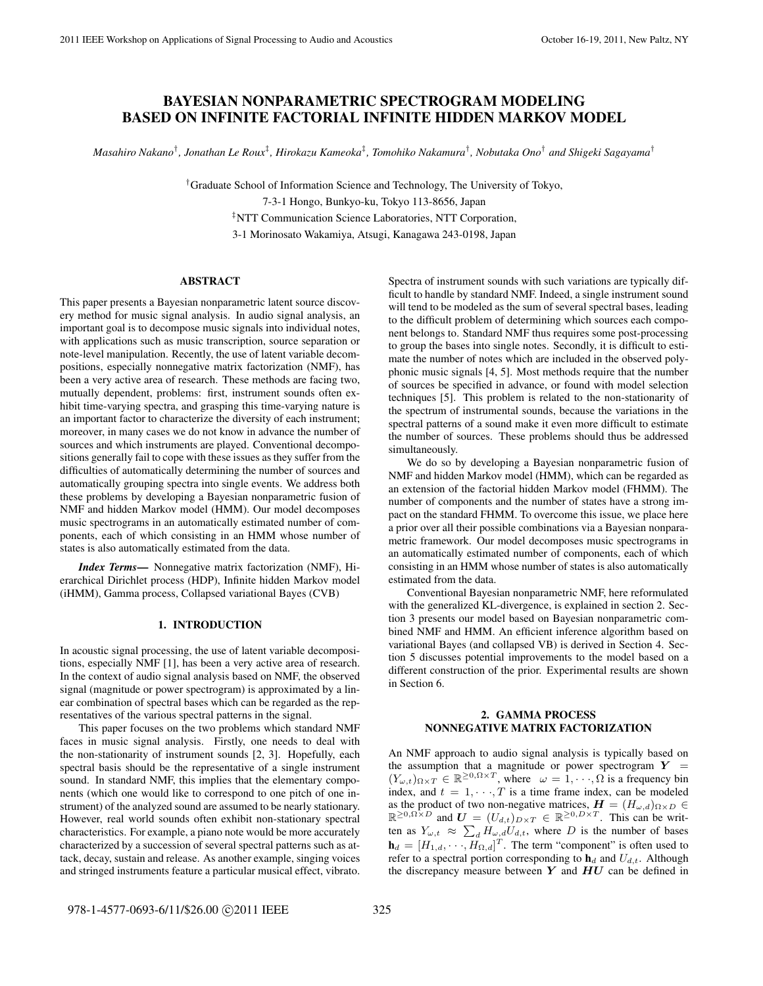# BAYESIAN NONPARAMETRIC SPECTROGRAM MODELING BASED ON INFINITE FACTORIAL INFINITE HIDDEN MARKOV MODEL

*Masahiro Nakano*†*, Jonathan Le Roux*‡*, Hirokazu Kameoka*‡*, Tomohiko Nakamura*†*, Nobutaka Ono*† *and Shigeki Sagayama*†

†Graduate School of Information Science and Technology, The University of Tokyo, 7-3-1 Hongo, Bunkyo-ku, Tokyo 113-8656, Japan ‡NTT Communication Science Laboratories, NTT Corporation,

3-1 Morinosato Wakamiya, Atsugi, Kanagawa 243-0198, Japan

#### ABSTRACT

This paper presents a Bayesian nonparametric latent source discovery method for music signal analysis. In audio signal analysis, an important goal is to decompose music signals into individual notes, with applications such as music transcription, source separation or note-level manipulation. Recently, the use of latent variable decompositions, especially nonnegative matrix factorization (NMF), has been a very active area of research. These methods are facing two, mutually dependent, problems: first, instrument sounds often exhibit time-varying spectra, and grasping this time-varying nature is an important factor to characterize the diversity of each instrument; moreover, in many cases we do not know in advance the number of sources and which instruments are played. Conventional decompositions generally fail to cope with these issues as they suffer from the difficulties of automatically determining the number of sources and automatically grouping spectra into single events. We address both these problems by developing a Bayesian nonparametric fusion of NMF and hidden Markov model (HMM). Our model decomposes music spectrograms in an automatically estimated number of components, each of which consisting in an HMM whose number of states is also automatically estimated from the data.

*Index Terms*— Nonnegative matrix factorization (NMF), Hierarchical Dirichlet process (HDP), Infinite hidden Markov model (iHMM), Gamma process, Collapsed variational Bayes (CVB)

### 1. INTRODUCTION

In acoustic signal processing, the use of latent variable decompositions, especially NMF [1], has been a very active area of research. In the context of audio signal analysis based on NMF, the observed signal (magnitude or power spectrogram) is approximated by a linear combination of spectral bases which can be regarded as the representatives of the various spectral patterns in the signal.

This paper focuses on the two problems which standard NMF faces in music signal analysis. Firstly, one needs to deal with the non-stationarity of instrument sounds [2, 3]. Hopefully, each spectral basis should be the representative of a single instrument sound. In standard NMF, this implies that the elementary components (which one would like to correspond to one pitch of one instrument) of the analyzed sound are assumed to be nearly stationary. However, real world sounds often exhibit non-stationary spectral characteristics. For example, a piano note would be more accurately characterized by a succession of several spectral patterns such as attack, decay, sustain and release. As another example, singing voices and stringed instruments feature a particular musical effect, vibrato.

Spectra of instrument sounds with such variations are typically difficult to handle by standard NMF. Indeed, a single instrument sound will tend to be modeled as the sum of several spectral bases, leading to the difficult problem of determining which sources each component belongs to. Standard NMF thus requires some post-processing to group the bases into single notes. Secondly, it is difficult to estimate the number of notes which are included in the observed polyphonic music signals [4, 5]. Most methods require that the number of sources be specified in advance, or found with model selection techniques [5]. This problem is related to the non-stationarity of the spectrum of instrumental sounds, because the variations in the spectral patterns of a sound make it even more difficult to estimate the number of sources. These problems should thus be addressed simultaneously.

We do so by developing a Bayesian nonparametric fusion of NMF and hidden Markov model (HMM), which can be regarded as an extension of the factorial hidden Markov model (FHMM). The number of components and the number of states have a strong impact on the standard FHMM. To overcome this issue, we place here a prior over all their possible combinations via a Bayesian nonparametric framework. Our model decomposes music spectrograms in an automatically estimated number of components, each of which consisting in an HMM whose number of states is also automatically estimated from the data.

Conventional Bayesian nonparametric NMF, here reformulated with the generalized KL-divergence, is explained in section 2. Section 3 presents our model based on Bayesian nonparametric combined NMF and HMM. An efficient inference algorithm based on variational Bayes (and collapsed VB) is derived in Section 4. Section 5 discusses potential improvements to the model based on a different construction of the prior. Experimental results are shown in Section 6.

#### 2. GAMMA PROCESS NONNEGATIVE MATRIX FACTORIZATION

An NMF approach to audio signal analysis is typically based on the assumption that a magnitude or power spectrogram  $Y =$  $(Y_{\omega,t})_{\Omega \times T} \in \mathbb{R}^{\geq 0, \Omega \times T}$ , where  $\omega = 1, \dots, \Omega$  is a frequency bin index, and  $t = 1, \dots, T$  is a time frame index, can be modeled as the product of two non-negative matrices,  $\mathbf{H} = (H_{\omega,d})_{\Omega \times D} \in$  $\mathbb{R}^{\geq 0,\Omega \times D}$  and  $\mathbf{U} = (U_{d,t})_{D \times T} \in \mathbb{R}^{\geq 0,D \times T}$ . This can be written as  $Y_{\omega,t} \approx \sum_d \hat{H}_{\omega,d} \hat{U}_{d,t}$ , where D is the number of bases **. The term "component" is often used to** refer to a spectral portion corresponding to  $h_d$  and  $U_{d,t}$ . Although the discrepancy measure between  $Y$  and  $HU$  can be defined in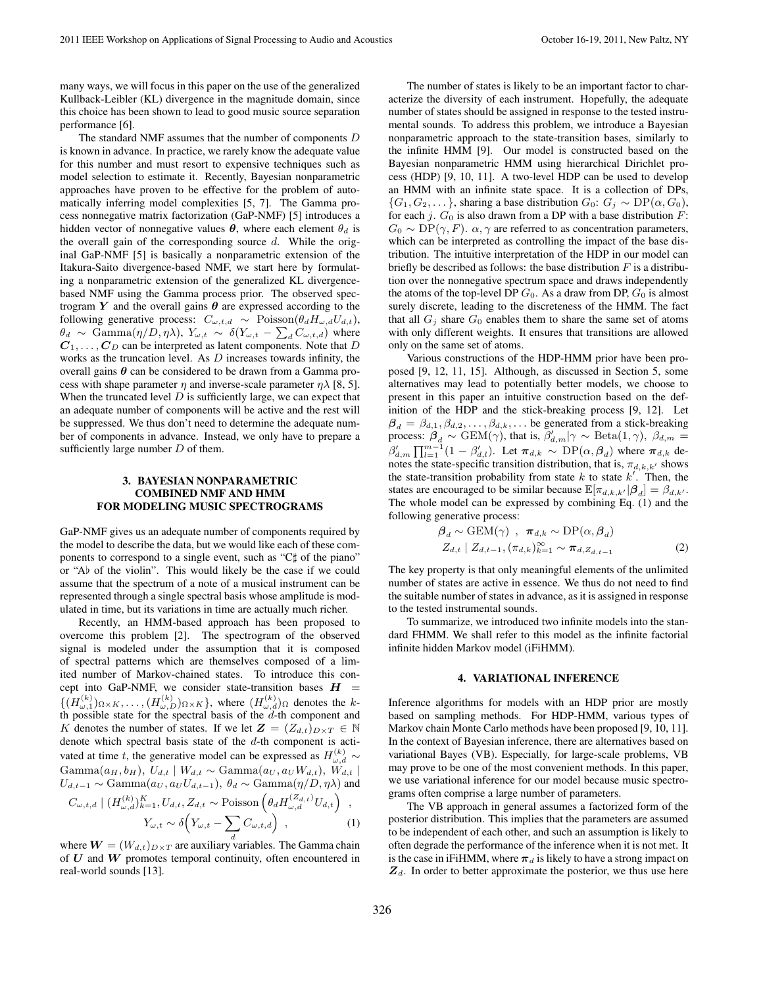many ways, we will focus in this paper on the use of the generalized Kullback-Leibler (KL) divergence in the magnitude domain, since this choice has been shown to lead to good music source separation performance [6].

The standard NMF assumes that the number of components D is known in advance. In practice, we rarely know the adequate value for this number and must resort to expensive techniques such as model selection to estimate it. Recently, Bayesian nonparametric approaches have proven to be effective for the problem of automatically inferring model complexities [5, 7]. The Gamma process nonnegative matrix factorization (GaP-NMF) [5] introduces a hidden vector of nonnegative values  $\theta$ , where each element  $\theta_d$  is the overall gain of the corresponding source  $d$ . While the original GaP-NMF [5] is basically a nonparametric extension of the Itakura-Saito divergence-based NMF, we start here by formulating a nonparametric extension of the generalized KL divergencebased NMF using the Gamma process prior. The observed spectrogram  $Y$  and the overall gains  $\theta$  are expressed according to the following generative process:  $C_{\omega,t,d} \sim \text{Poisson}(\theta_d H_{\omega,d} U_{d,t}),$  $\theta_d \sim \text{Gamma}(\eta/D, \eta\lambda)$ ,  $Y_{\omega,t} \sim \delta(Y_{\omega,t} - \sum_{d} C_{\omega,t,d})$  where  $C_1, \ldots, C_D$  can be interpreted as latent components. Note that D works as the truncation level. As  $D$  increases towards infinity, the overall gains  $\theta$  can be considered to be drawn from a Gamma process with shape parameter  $\eta$  and inverse-scale parameter  $\eta \lambda$  [8, 5]. When the truncated level  $D$  is sufficiently large, we can expect that an adequate number of components will be active and the rest will be suppressed. We thus don't need to determine the adequate number of components in advance. Instead, we only have to prepare a sufficiently large number  $D$  of them.

## 3. BAYESIAN NONPARAMETRIC COMBINED NMF AND HMM FOR MODELING MUSIC SPECTROGRAMS

GaP-NMF gives us an adequate number of components required by the model to describe the data, but we would like each of these components to correspond to a single event, such as "C# of the piano" or "Ab of the violin". This would likely be the case if we could assume that the spectrum of a note of a musical instrument can be represented through a single spectral basis whose amplitude is modulated in time, but its variations in time are actually much richer.

Recently, an HMM-based approach has been proposed to overcome this problem [2]. The spectrogram of the observed signal is modeled under the assumption that it is composed of spectral patterns which are themselves composed of a limited number of Markov-chained states. To introduce this concept into GaP-NMF, we consider state-transition bases  $H =$  $\{(H^{(k)}_{\omega,1})_{\Omega\times K},\ldots,(H^{(k)}_{\omega,D})_{\Omega\times K}\}\,$ , where  $(H^{(k)}_{\omega,d})_{\Omega}$  denotes the kth possible state for the spectral basis of the  $d$ -th component and K denotes the number of states. If we let  $\mathbf{Z} = (Z_{d,t})_{D \times T} \in \mathbb{N}$ denote which spectral basis state of the d-th component is activated at time t, the generative model can be expressed as  $H_{\omega,d}^{(k)} \sim$ Gamma $(a_H, b_H)$ ,  $U_{d,t}$  |  $W_{d,t} \sim$  Gamma $(a_U, a_U W_{d,t})$ ,  $W_{d,t}$  |  $U_{d,t-1} \sim \text{Gamma}(a_U, a_U U_{d,t-1}), \theta_d \sim \text{Gamma}(\eta/D, \eta\lambda)$  and

$$
C_{\omega,t,d} \mid (H_{\omega,d}^{(k)})_{k=1}^K, U_{d,t}, Z_{d,t} \sim \text{Poisson}\left(\theta_d H_{\omega,d}^{(Z_{d,t})} U_{d,t}\right) ,
$$

$$
Y_{\omega,t} \sim \delta\Big(Y_{\omega,t} - \sum_d C_{\omega,t,d}\Big) , \tag{1}
$$

where  $\boldsymbol{W} = (W_{d,t})_{D\times T}$  are auxiliary variables. The Gamma chain of  $U$  and  $W$  promotes temporal continuity, often encountered in real-world sounds [13].

The number of states is likely to be an important factor to characterize the diversity of each instrument. Hopefully, the adequate number of states should be assigned in response to the tested instrumental sounds. To address this problem, we introduce a Bayesian nonparametric approach to the state-transition bases, similarly to the infinite HMM [9]. Our model is constructed based on the Bayesian nonparametric HMM using hierarchical Dirichlet process (HDP) [9, 10, 11]. A two-level HDP can be used to develop an HMM with an infinite state space. It is a collection of DPs,  ${G_1, G_2,...}$ , sharing a base distribution  $G_0: G_i \sim DP(\alpha, G_0)$ , for each j.  $G_0$  is also drawn from a DP with a base distribution F:  $G_0 \sim DP(\gamma, F)$ .  $\alpha, \gamma$  are referred to as concentration parameters, which can be interpreted as controlling the impact of the base distribution. The intuitive interpretation of the HDP in our model can briefly be described as follows: the base distribution  $F$  is a distribution over the nonnegative spectrum space and draws independently the atoms of the top-level DP  $G_0$ . As a draw from DP,  $G_0$  is almost surely discrete, leading to the discreteness of the HMM. The fact that all  $G_j$  share  $G_0$  enables them to share the same set of atoms with only different weights. It ensures that transitions are allowed only on the same set of atoms.

Various constructions of the HDP-HMM prior have been proposed [9, 12, 11, 15]. Although, as discussed in Section 5, some alternatives may lead to potentially better models, we choose to present in this paper an intuitive construction based on the definition of the HDP and the stick-breaking process [9, 12]. Let  $\beta_d = \beta_{d,1}, \beta_{d,2}, \ldots, \beta_{d,k}, \ldots$  be generated from a stick-breaking process:  $\beta_{d} \sim \text{GEM}(\gamma)$ , that is,  $\beta'_{d,m}$   $\vert \gamma \sim \text{Beta}(1, \gamma)$ ,  $\beta_{d,m} =$  $\beta'_{d,m} \prod_{l=1}^{m-1} (1 - \beta'_{d,l})$ . Let  $\pi_{d,k} \sim \text{DP}(\alpha, \beta_d)$  where  $\pi_{d,k}$  denotes the state-specific transition distribution, that is,  $\pi_{d,k,k'}$  shows the state-transition probability from state  $k$  to state  $k'$ . Then, the states are encouraged to be similar because  $\mathbb{E}[\pi_{d,k,k'}|\boldsymbol{\beta}_d] = \beta_{d,k'}.$ The whole model can be expressed by combining Eq. (1) and the following generative process:

$$
\begin{aligned} \n\beta_d &\sim \text{GEM}(\gamma) \quad , \quad \pi_{d,k} \sim \text{DP}(\alpha, \beta_d) \\ \nZ_{d,t} \mid Z_{d,t-1}, (\pi_{d,k})_{k=1}^{\infty} &\sim \pi_{d,Z_{d,t-1}} \n\end{aligned} \n\tag{2}
$$

The key property is that only meaningful elements of the unlimited number of states are active in essence. We thus do not need to find the suitable number of states in advance, as it is assigned in response to the tested instrumental sounds.

To summarize, we introduced two infinite models into the standard FHMM. We shall refer to this model as the infinite factorial infinite hidden Markov model (iFiHMM).

#### 4. VARIATIONAL INFERENCE

Inference algorithms for models with an HDP prior are mostly based on sampling methods. For HDP-HMM, various types of Markov chain Monte Carlo methods have been proposed [9, 10, 11]. In the context of Bayesian inference, there are alternatives based on variational Bayes (VB). Especially, for large-scale problems, VB may prove to be one of the most convenient methods. In this paper, we use variational inference for our model because music spectrograms often comprise a large number of parameters.

The VB approach in general assumes a factorized form of the posterior distribution. This implies that the parameters are assumed to be independent of each other, and such an assumption is likely to often degrade the performance of the inference when it is not met. It is the case in iFiHMM, where  $\pi_d$  is likely to have a strong impact on  $\mathbf{Z}_d$ . In order to better approximate the posterior, we thus use here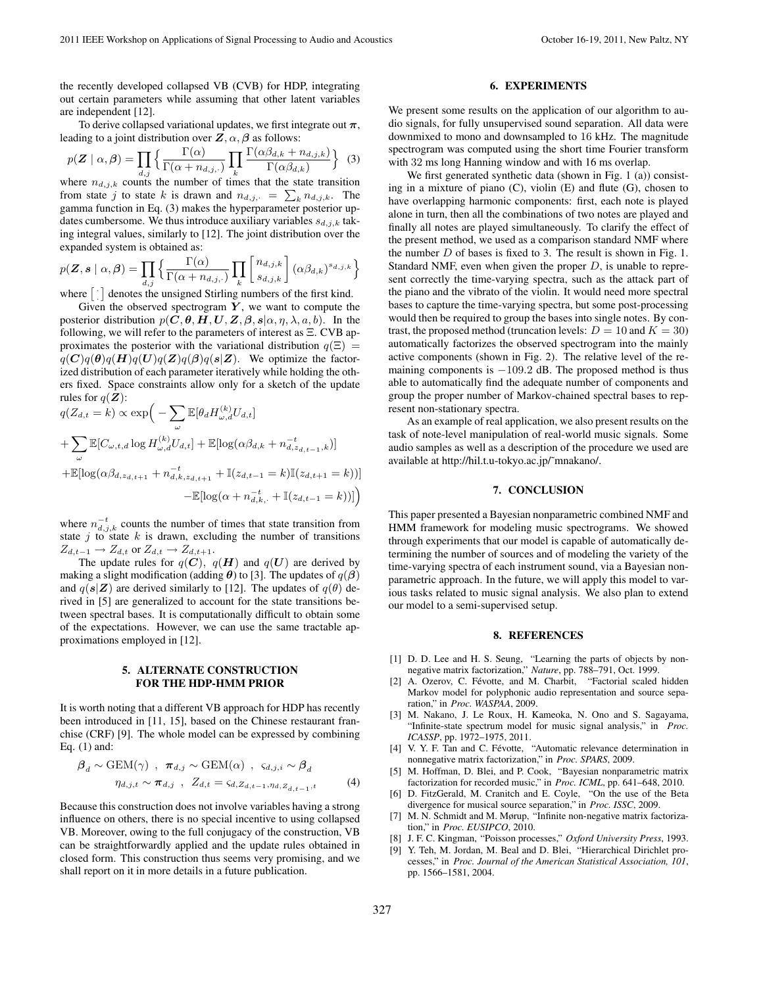the recently developed collapsed VB (CVB) for HDP, integrating out certain parameters while assuming that other latent variables are independent [12].

To derive collapsed variational updates, we first integrate out  $\pi$ , leading to a joint distribution over  $\mathbf{Z}, \alpha, \beta$  as follows:

$$
p(\boldsymbol{Z} \mid \alpha, \beta) = \prod_{d,j} \left\{ \frac{\Gamma(\alpha)}{\Gamma(\alpha + n_{d,j})} \prod_k \frac{\Gamma(\alpha \beta_{d,k} + n_{d,j,k})}{\Gamma(\alpha \beta_{d,k})} \right\}
$$
(3)

where  $n_{d,j,k}$  counts the number of times that the state transition from state j to state k is drawn and  $n_{d,j}$ ,  $= \sum_{k} n_{d,j,k}$ . The gamma function in Eq. (3) makes the hyperparameter posterior updates cumbersome. We thus introduce auxiliary variables  $s_{d,j,k}$  taking integral values, similarly to [12]. The joint distribution over the expanded system is obtained as:

$$
p(\mathbf{Z}, \mathbf{s} \mid \alpha, \beta) = \prod_{d,j} \left\{ \frac{\Gamma(\alpha)}{\Gamma(\alpha + n_{d,j,j})} \prod_k \begin{bmatrix} n_{d,j,k} \\ s_{d,j,k} \end{bmatrix} (\alpha \beta_{d,k})^{s_{d,j,k}} \right\}
$$

where  $\left[\begin{array}{c} 1 \end{array}\right]$  denotes the unsigned Stirling numbers of the first kind.

Given the observed spectrogram  $\tilde{Y}$ , we want to compute the posterior distribution  $p(C, \theta, H, U, Z, \beta, s | \alpha, \eta, \lambda, a, b)$ . In the following, we will refer to the parameters of interest as Ξ. CVB approximates the posterior with the variational distribution  $q(\Xi)$  =  $q(C)q(\theta)q(H)q(U)q(Z)q(\theta)q(s|Z)$ . We optimize the factorized distribution of each parameter iteratively while holding the others fixed. Space constraints allow only for a sketch of the update rules for  $q(\mathbf{Z})$ :

$$
q(Z_{d,t} = k) \propto \exp\left(-\sum_{\omega} \mathbb{E}[\theta_d H_{\omega,d}^{(k)} U_{d,t}] + \sum_{\omega} \mathbb{E}[C_{\omega,t,d} \log H_{\omega,d}^{(k)} U_{d,t}] + \mathbb{E}[\log(\alpha \beta_{d,k} + n_{d,z_{d,t-1},k}^{-t})] + \mathbb{E}[\log(\alpha \beta_{d,z_{d,t+1}} + n_{d,k,z_{d,t+1}}^{-t} + \mathbb{I}(z_{d,t-1} = k)\mathbb{I}(z_{d,t+1} = k))]
$$

$$
- \mathbb{E}[\log(\alpha + n_{d,k}^{-t}, + \mathbb{I}(z_{d,t-1} = k))])
$$

where  $n_{d,j,k}^{-t}$  counts the number of times that state transition from state  $j$  to state  $k$  is drawn, excluding the number of transitions  $Z_{d,t-1} \to Z_{d,t}$  or  $Z_{d,t} \to Z_{d,t+1}$ .

The update rules for  $q(C)$ ,  $q(H)$  and  $q(U)$  are derived by making a slight modification (adding  $\theta$ ) to [3]. The updates of  $q(\beta)$ and  $q(s|Z)$  are derived similarly to [12]. The updates of  $q(\theta)$  derived in [5] are generalized to account for the state transitions between spectral bases. It is computationally difficult to obtain some of the expectations. However, we can use the same tractable approximations employed in [12].

#### 5. ALTERNATE CONSTRUCTION FOR THE HDP-HMM PRIOR

It is worth noting that a different VB approach for HDP has recently been introduced in [11, 15], based on the Chinese restaurant franchise (CRF) [9]. The whole model can be expressed by combining Eq. (1) and:

$$
\beta_d \sim \text{GEM}(\gamma) , \ \pi_{d,j} \sim \text{GEM}(\alpha) , \ \varsigma_{d,j,i} \sim \beta_d
$$

$$
\eta_{d,j,t} \sim \pi_{d,j} , \ Z_{d,t} = \varsigma_{d,Z_{d,t-1},\eta_{d,Z_{d,t-1},t}} \tag{4}
$$

Because this construction does not involve variables having a strong influence on others, there is no special incentive to using collapsed VB. Moreover, owing to the full conjugacy of the construction, VB can be straightforwardly applied and the update rules obtained in closed form. This construction thus seems very promising, and we shall report on it in more details in a future publication.

#### 6. EXPERIMENTS

We present some results on the application of our algorithm to audio signals, for fully unsupervised sound separation. All data were downmixed to mono and downsampled to 16 kHz. The magnitude spectrogram was computed using the short time Fourier transform with 32 ms long Hanning window and with 16 ms overlap.

We first generated synthetic data (shown in Fig. 1 (a)) consisting in a mixture of piano (C), violin (E) and flute (G), chosen to have overlapping harmonic components: first, each note is played alone in turn, then all the combinations of two notes are played and finally all notes are played simultaneously. To clarify the effect of the present method, we used as a comparison standard NMF where the number  $D$  of bases is fixed to 3. The result is shown in Fig. 1. Standard NMF, even when given the proper  $D$ , is unable to represent correctly the time-varying spectra, such as the attack part of the piano and the vibrato of the violin. It would need more spectral bases to capture the time-varying spectra, but some post-processing would then be required to group the bases into single notes. By contrast, the proposed method (truncation levels:  $D = 10$  and  $K = 30$ ) automatically factorizes the observed spectrogram into the mainly active components (shown in Fig. 2). The relative level of the remaining components is  $-109.2$  dB. The proposed method is thus able to automatically find the adequate number of components and group the proper number of Markov-chained spectral bases to represent non-stationary spectra.

As an example of real application, we also present results on the task of note-level manipulation of real-world music signals. Some audio samples as well as a description of the procedure we used are available at http://hil.t.u-tokyo.ac.jp/˜mnakano/.

#### 7. CONCLUSION

This paper presented a Bayesian nonparametric combined NMF and HMM framework for modeling music spectrograms. We showed through experiments that our model is capable of automatically determining the number of sources and of modeling the variety of the time-varying spectra of each instrument sound, via a Bayesian nonparametric approach. In the future, we will apply this model to various tasks related to music signal analysis. We also plan to extend our model to a semi-supervised setup.

#### 8. REFERENCES

- [1] D. D. Lee and H. S. Seung, "Learning the parts of objects by nonnegative matrix factorization," *Nature*, pp. 788–791, Oct. 1999.
- [2] A. Ozerov, C. Févotte, and M. Charbit, "Factorial scaled hidden Markov model for polyphonic audio representation and source separation," in *Proc. WASPAA*, 2009.
- [3] M. Nakano, J. Le Roux, H. Kameoka, N. Ono and S. Sagayama, "Infinite-state spectrum model for music signal analysis," in *Proc. ICASSP*, pp. 1972–1975, 2011.
- [4] V. Y. F. Tan and C. Févotte, "Automatic relevance determination in nonnegative matrix factorization," in *Proc. SPARS*, 2009.
- [5] M. Hoffman, D. Blei, and P. Cook, "Bayesian nonparametric matrix factorization for recorded music," in *Proc. ICML*, pp. 641–648, 2010.
- [6] D. FitzGerald, M. Cranitch and E. Coyle, "On the use of the Beta divergence for musical source separation," in *Proc. ISSC*, 2009.
- [7] M. N. Schmidt and M. Mørup, "Infinite non-negative matrix factorization," in *Proc. EUSIPCO*, 2010.
- [8] J. F. C. Kingman, "Poisson processes," *Oxford University Press*, 1993.
- [9] Y. Teh, M. Jordan, M. Beal and D. Blei, "Hierarchical Dirichlet processes," in *Proc. Journal of the American Statistical Association, 101*, pp. 1566–1581, 2004.